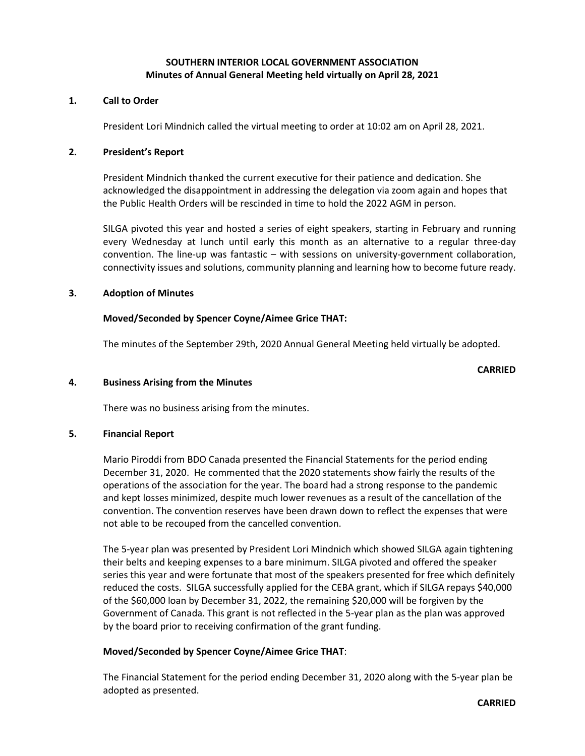# **SOUTHERN INTERIOR LOCAL GOVERNMENT ASSOCIATION Minutes of Annual General Meeting held virtually on April 28, 2021**

### **1. Call to Order**

President Lori Mindnich called the virtual meeting to order at 10:02 am on April 28, 2021.

#### **2. President's Report**

President Mindnich thanked the current executive for their patience and dedication. She acknowledged the disappointment in addressing the delegation via zoom again and hopes that the Public Health Orders will be rescinded in time to hold the 2022 AGM in person.

SILGA pivoted this year and hosted a series of eight speakers, starting in February and running every Wednesday at lunch until early this month as an alternative to a regular three-day convention. The line-up was fantastic – with sessions on university-government collaboration, connectivity issues and solutions, community planning and learning how to become future ready.

#### **3. Adoption of Minutes**

#### **Moved/Seconded by Spencer Coyne/Aimee Grice THAT:**

The minutes of the September 29th, 2020 Annual General Meeting held virtually be adopted.

**CARRIED**

### **4. Business Arising from the Minutes**

There was no business arising from the minutes.

### **5. Financial Report**

Mario Piroddi from BDO Canada presented the Financial Statements for the period ending December 31, 2020. He commented that the 2020 statements show fairly the results of the operations of the association for the year. The board had a strong response to the pandemic and kept losses minimized, despite much lower revenues as a result of the cancellation of the convention. The convention reserves have been drawn down to reflect the expenses that were not able to be recouped from the cancelled convention.

The 5-year plan was presented by President Lori Mindnich which showed SILGA again tightening their belts and keeping expenses to a bare minimum. SILGA pivoted and offered the speaker series this year and were fortunate that most of the speakers presented for free which definitely reduced the costs. SILGA successfully applied for the CEBA grant, which if SILGA repays \$40,000 of the \$60,000 loan by December 31, 2022, the remaining \$20,000 will be forgiven by the Government of Canada. This grant is not reflected in the 5-year plan as the plan was approved by the board prior to receiving confirmation of the grant funding.

### **Moved/Seconded by Spencer Coyne/Aimee Grice THAT**:

The Financial Statement for the period ending December 31, 2020 along with the 5-year plan be adopted as presented.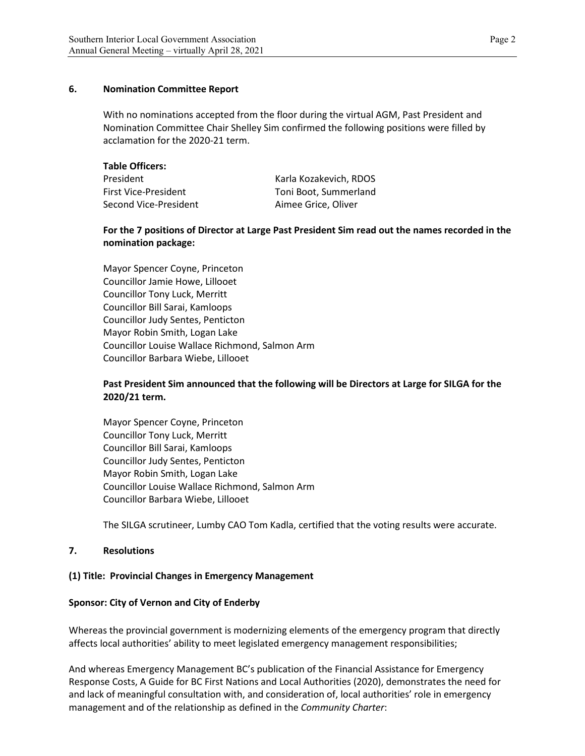# **6. Nomination Committee Report**

With no nominations accepted from the floor during the virtual AGM, Past President and Nomination Committee Chair Shelley Sim confirmed the following positions were filled by acclamation for the 2020-21 term.

| Karla Kozakevich, RDOS |
|------------------------|
| Toni Boot, Summerland  |
| Aimee Grice, Oliver    |
|                        |

# **For the 7 positions of Director at Large Past President Sim read out the names recorded in the nomination package:**

Mayor Spencer Coyne, Princeton Councillor Jamie Howe, Lillooet Councillor Tony Luck, Merritt Councillor Bill Sarai, Kamloops Councillor Judy Sentes, Penticton Mayor Robin Smith, Logan Lake Councillor Louise Wallace Richmond, Salmon Arm Councillor Barbara Wiebe, Lillooet

# **Past President Sim announced that the following will be Directors at Large for SILGA for the 2020/21 term.**

Mayor Spencer Coyne, Princeton Councillor Tony Luck, Merritt Councillor Bill Sarai, Kamloops Councillor Judy Sentes, Penticton Mayor Robin Smith, Logan Lake Councillor Louise Wallace Richmond, Salmon Arm Councillor Barbara Wiebe, Lillooet

The SILGA scrutineer, Lumby CAO Tom Kadla, certified that the voting results were accurate.

### **7. Resolutions**

# **(1) Title: Provincial Changes in Emergency Management**

### **Sponsor: City of Vernon and City of Enderby**

Whereas the provincial government is modernizing elements of the emergency program that directly affects local authorities' ability to meet legislated emergency management responsibilities;

And whereas Emergency Management BC's publication of the Financial Assistance for Emergency Response Costs, A Guide for BC First Nations and Local Authorities (2020), demonstrates the need for and lack of meaningful consultation with, and consideration of, local authorities' role in emergency management and of the relationship as defined in the *Community Charter*: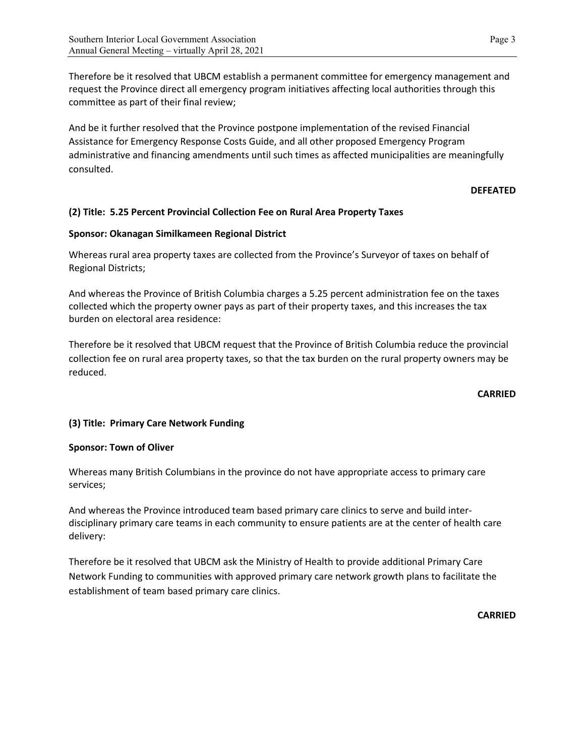Therefore be it resolved that UBCM establish a permanent committee for emergency management and request the Province direct all emergency program initiatives affecting local authorities through this committee as part of their final review;

And be it further resolved that the Province postpone implementation of the revised Financial Assistance for Emergency Response Costs Guide, and all other proposed Emergency Program administrative and financing amendments until such times as affected municipalities are meaningfully consulted.

## **DEFEATED**

# **(2) Title: 5.25 Percent Provincial Collection Fee on Rural Area Property Taxes**

## **Sponsor: Okanagan Similkameen Regional District**

Whereas rural area property taxes are collected from the Province's Surveyor of taxes on behalf of Regional Districts;

And whereas the Province of British Columbia charges a 5.25 percent administration fee on the taxes collected which the property owner pays as part of their property taxes, and this increases the tax burden on electoral area residence:

Therefore be it resolved that UBCM request that the Province of British Columbia reduce the provincial collection fee on rural area property taxes, so that the tax burden on the rural property owners may be reduced.

**CARRIED**

# **(3) Title: Primary Care Network Funding**

### **Sponsor: Town of Oliver**

Whereas many British Columbians in the province do not have appropriate access to primary care services;

And whereas the Province introduced team based primary care clinics to serve and build interdisciplinary primary care teams in each community to ensure patients are at the center of health care delivery:

Therefore be it resolved that UBCM ask the Ministry of Health to provide additional Primary Care Network Funding to communities with approved primary care network growth plans to facilitate the establishment of team based primary care clinics.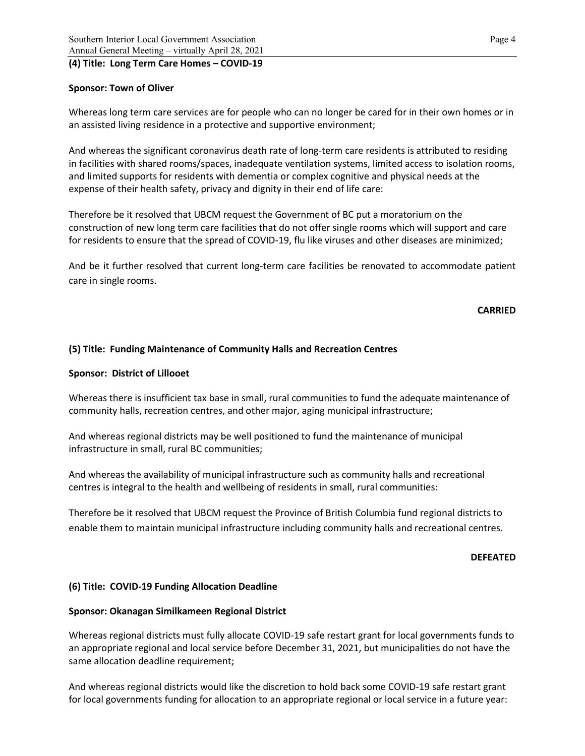## **(4) Title: Long Term Care Homes – COVID-19**

# **Sponsor: Town of Oliver**

Whereas long term care services are for people who can no longer be cared for in their own homes or in an assisted living residence in a protective and supportive environment;

And whereas the significant coronavirus death rate of long-term care residents is attributed to residing in facilities with shared rooms/spaces, inadequate ventilation systems, limited access to isolation rooms, and limited supports for residents with dementia or complex cognitive and physical needs at the expense of their health safety, privacy and dignity in their end of life care:

Therefore be it resolved that UBCM request the Government of BC put a moratorium on the construction of new long term care facilities that do not offer single rooms which will support and care for residents to ensure that the spread of COVID-19, flu like viruses and other diseases are minimized;

And be it further resolved that current long-term care facilities be renovated to accommodate patient care in single rooms.

### **CARRIED**

## **(5) Title: Funding Maintenance of Community Halls and Recreation Centres**

### **Sponsor: District of Lillooet**

Whereas there is insufficient tax base in small, rural communities to fund the adequate maintenance of community halls, recreation centres, and other major, aging municipal infrastructure;

And whereas regional districts may be well positioned to fund the maintenance of municipal infrastructure in small, rural BC communities;

And whereas the availability of municipal infrastructure such as community halls and recreational centres is integral to the health and wellbeing of residents in small, rural communities:

Therefore be it resolved that UBCM request the Province of British Columbia fund regional districts to enable them to maintain municipal infrastructure including community halls and recreational centres.

### **DEFEATED**

### **(6) Title: COVID-19 Funding Allocation Deadline**

### **Sponsor: Okanagan Similkameen Regional District**

Whereas regional districts must fully allocate COVID-19 safe restart grant for local governments funds to an appropriate regional and local service before December 31, 2021, but municipalities do not have the same allocation deadline requirement;

And whereas regional districts would like the discretion to hold back some COVID-19 safe restart grant for local governments funding for allocation to an appropriate regional or local service in a future year: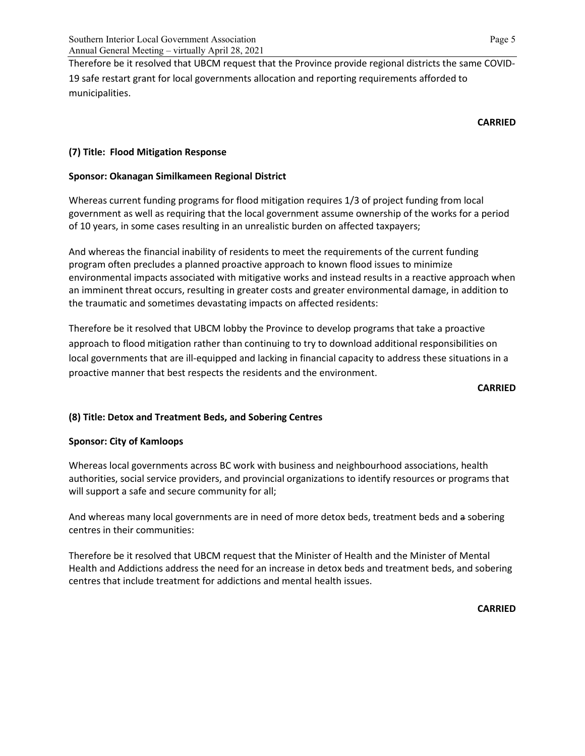Therefore be it resolved that UBCM request that the Province provide regional districts the same COVID-19 safe restart grant for local governments allocation and reporting requirements afforded to municipalities.

## **CARRIED**

# **(7) Title: Flood Mitigation Response**

# **Sponsor: Okanagan Similkameen Regional District**

Whereas current funding programs for flood mitigation requires 1/3 of project funding from local government as well as requiring that the local government assume ownership of the works for a period of 10 years, in some cases resulting in an unrealistic burden on affected taxpayers;

And whereas the financial inability of residents to meet the requirements of the current funding program often precludes a planned proactive approach to known flood issues to minimize environmental impacts associated with mitigative works and instead results in a reactive approach when an imminent threat occurs, resulting in greater costs and greater environmental damage, in addition to the traumatic and sometimes devastating impacts on affected residents:

Therefore be it resolved that UBCM lobby the Province to develop programs that take a proactive approach to flood mitigation rather than continuing to try to download additional responsibilities on local governments that are ill-equipped and lacking in financial capacity to address these situations in a proactive manner that best respects the residents and the environment.

### **CARRIED**

# **(8) Title: Detox and Treatment Beds, and Sobering Centres**

# **Sponsor: City of Kamloops**

Whereas local governments across BC work with business and neighbourhood associations, health authorities, social service providers, and provincial organizations to identify resources or programs that will support a safe and secure community for all;

And whereas many local governments are in need of more detox beds, treatment beds and a sobering centres in their communities:

Therefore be it resolved that UBCM request that the Minister of Health and the Minister of Mental Health and Addictions address the need for an increase in detox beds and treatment beds, and sobering centres that include treatment for addictions and mental health issues.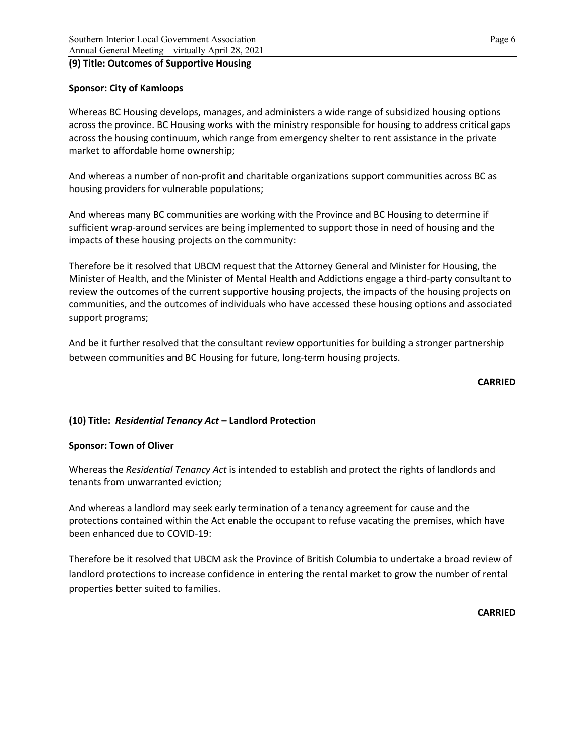## **(9) Title: Outcomes of Supportive Housing**

# **Sponsor: City of Kamloops**

Whereas BC Housing develops, manages, and administers a wide range of subsidized housing options across the province. BC Housing works with the ministry responsible for housing to address critical gaps across the housing continuum, which range from emergency shelter to rent assistance in the private market to affordable home ownership;

And whereas a number of non-profit and charitable organizations support communities across BC as housing providers for vulnerable populations;

And whereas many BC communities are working with the Province and BC Housing to determine if sufficient wrap-around services are being implemented to support those in need of housing and the impacts of these housing projects on the community:

Therefore be it resolved that UBCM request that the Attorney General and Minister for Housing, the Minister of Health, and the Minister of Mental Health and Addictions engage a third-party consultant to review the outcomes of the current supportive housing projects, the impacts of the housing projects on communities, and the outcomes of individuals who have accessed these housing options and associated support programs;

And be it further resolved that the consultant review opportunities for building a stronger partnership between communities and BC Housing for future, long-term housing projects.

### **CARRIED**

# **(10) Title:** *Residential Tenancy Act* **– Landlord Protection**

### **Sponsor: Town of Oliver**

Whereas the *Residential Tenancy Act* is intended to establish and protect the rights of landlords and tenants from unwarranted eviction;

And whereas a landlord may seek early termination of a tenancy agreement for cause and the protections contained within the Act enable the occupant to refuse vacating the premises, which have been enhanced due to COVID-19:

Therefore be it resolved that UBCM ask the Province of British Columbia to undertake a broad review of landlord protections to increase confidence in entering the rental market to grow the number of rental properties better suited to families.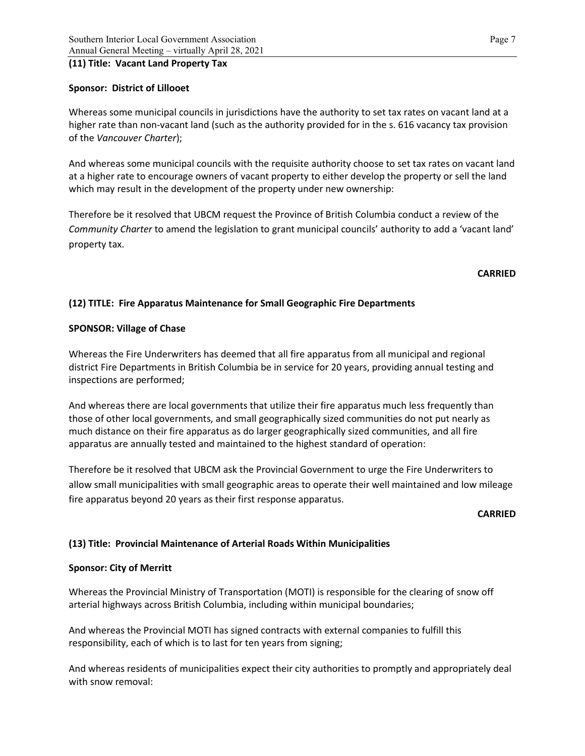## **(11) Title: Vacant Land Property Tax**

# **Sponsor: District of Lillooet**

Whereas some municipal councils in jurisdictions have the authority to set tax rates on vacant land at a higher rate than non-vacant land (such as the authority provided for in the s. 616 vacancy tax provision of the *Vancouver Charter*);

And whereas some municipal councils with the requisite authority choose to set tax rates on vacant land at a higher rate to encourage owners of vacant property to either develop the property or sell the land which may result in the development of the property under new ownership:

Therefore be it resolved that UBCM request the Province of British Columbia conduct a review of the *Community Charter* to amend the legislation to grant municipal councils' authority to add a 'vacant land' property tax.

## **CARRIED**

# **(12) TITLE: Fire Apparatus Maintenance for Small Geographic Fire Departments**

## **SPONSOR: Village of Chase**

Whereas the Fire Underwriters has deemed that all fire apparatus from all municipal and regional district Fire Departments in British Columbia be in service for 20 years, providing annual testing and inspections are performed;

And whereas there are local governments that utilize their fire apparatus much less frequently than those of other local governments, and small geographically sized communities do not put nearly as much distance on their fire apparatus as do larger geographically sized communities, and all fire apparatus are annually tested and maintained to the highest standard of operation:

Therefore be it resolved that UBCM ask the Provincial Government to urge the Fire Underwriters to allow small municipalities with small geographic areas to operate their well maintained and low mileage fire apparatus beyond 20 years as their first response apparatus.

### **CARRIED**

# **(13) Title: Provincial Maintenance of Arterial Roads Within Municipalities**

### **Sponsor: City of Merritt**

Whereas the Provincial Ministry of Transportation (MOTI) is responsible for the clearing of snow off arterial highways across British Columbia, including within municipal boundaries;

And whereas the Provincial MOTI has signed contracts with external companies to fulfill this responsibility, each of which is to last for ten years from signing;

And whereas residents of municipalities expect their city authorities to promptly and appropriately deal with snow removal: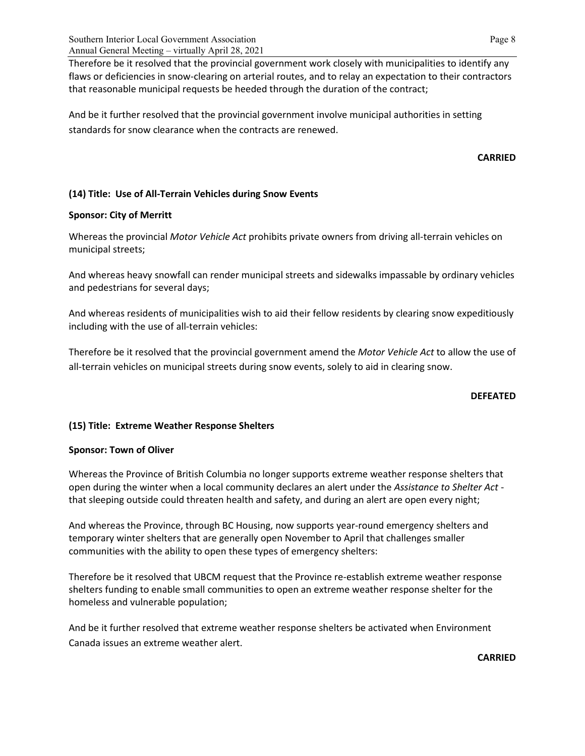Therefore be it resolved that the provincial government work closely with municipalities to identify any flaws or deficiencies in snow-clearing on arterial routes, and to relay an expectation to their contractors that reasonable municipal requests be heeded through the duration of the contract;

And be it further resolved that the provincial government involve municipal authorities in setting standards for snow clearance when the contracts are renewed.

# **CARRIED**

# **(14) Title: Use of All-Terrain Vehicles during Snow Events**

## **Sponsor: City of Merritt**

Whereas the provincial *Motor Vehicle Act* prohibits private owners from driving all-terrain vehicles on municipal streets;

And whereas heavy snowfall can render municipal streets and sidewalks impassable by ordinary vehicles and pedestrians for several days;

And whereas residents of municipalities wish to aid their fellow residents by clearing snow expeditiously including with the use of all-terrain vehicles:

Therefore be it resolved that the provincial government amend the *Motor Vehicle Act* to allow the use of all-terrain vehicles on municipal streets during snow events, solely to aid in clearing snow.

### **DEFEATED**

# **(15) Title: Extreme Weather Response Shelters**

# **Sponsor: Town of Oliver**

Whereas the Province of British Columbia no longer supports extreme weather response shelters that open during the winter when a local community declares an alert under the *Assistance to Shelter Act* that sleeping outside could threaten health and safety, and during an alert are open every night;

And whereas the Province, through BC Housing, now supports year-round emergency shelters and temporary winter shelters that are generally open November to April that challenges smaller communities with the ability to open these types of emergency shelters:

Therefore be it resolved that UBCM request that the Province re-establish extreme weather response shelters funding to enable small communities to open an extreme weather response shelter for the homeless and vulnerable population;

And be it further resolved that extreme weather response shelters be activated when Environment Canada issues an extreme weather alert.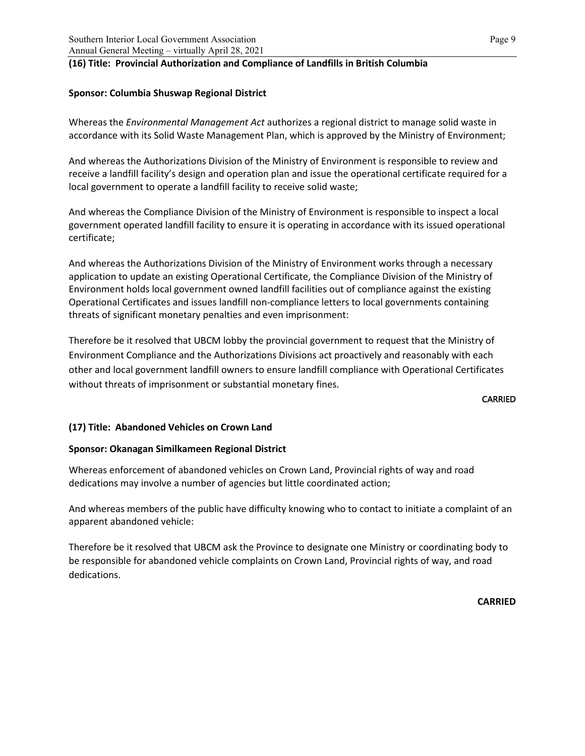# **(16) Title: Provincial Authorization and Compliance of Landfills in British Columbia**

## **Sponsor: Columbia Shuswap Regional District**

Whereas the *Environmental Management Act* authorizes a regional district to manage solid waste in accordance with its Solid Waste Management Plan, which is approved by the Ministry of Environment;

And whereas the Authorizations Division of the Ministry of Environment is responsible to review and receive a landfill facility's design and operation plan and issue the operational certificate required for a local government to operate a landfill facility to receive solid waste;

And whereas the Compliance Division of the Ministry of Environment is responsible to inspect a local government operated landfill facility to ensure it is operating in accordance with its issued operational certificate;

And whereas the Authorizations Division of the Ministry of Environment works through a necessary application to update an existing Operational Certificate, the Compliance Division of the Ministry of Environment holds local government owned landfill facilities out of compliance against the existing Operational Certificates and issues landfill non-compliance letters to local governments containing threats of significant monetary penalties and even imprisonment:

Therefore be it resolved that UBCM lobby the provincial government to request that the Ministry of Environment Compliance and the Authorizations Divisions act proactively and reasonably with each other and local government landfill owners to ensure landfill compliance with Operational Certificates without threats of imprisonment or substantial monetary fines.

#### **CARRIED**

# **(17) Title: Abandoned Vehicles on Crown Land**

### **Sponsor: Okanagan Similkameen Regional District**

Whereas enforcement of abandoned vehicles on Crown Land, Provincial rights of way and road dedications may involve a number of agencies but little coordinated action;

And whereas members of the public have difficulty knowing who to contact to initiate a complaint of an apparent abandoned vehicle:

Therefore be it resolved that UBCM ask the Province to designate one Ministry or coordinating body to be responsible for abandoned vehicle complaints on Crown Land, Provincial rights of way, and road dedications.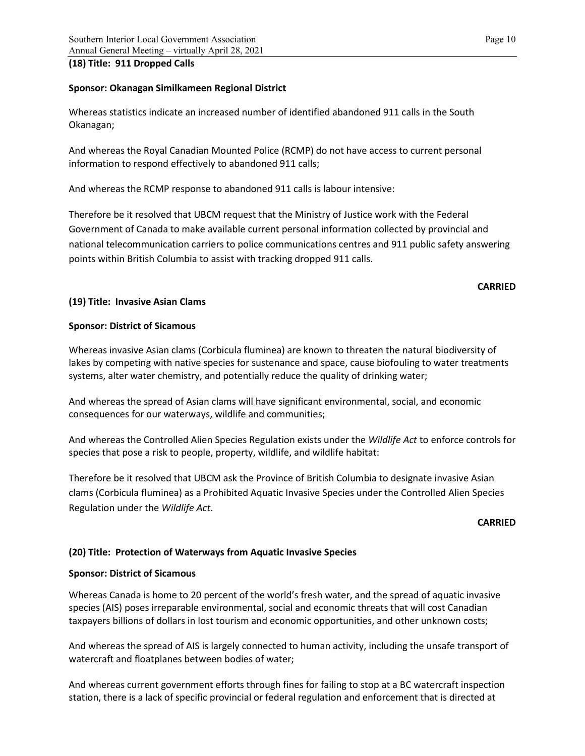### **(18) Title: 911 Dropped Calls**

# **Sponsor: Okanagan Similkameen Regional District**

Whereas statistics indicate an increased number of identified abandoned 911 calls in the South Okanagan;

And whereas the Royal Canadian Mounted Police (RCMP) do not have access to current personal information to respond effectively to abandoned 911 calls;

And whereas the RCMP response to abandoned 911 calls is labour intensive:

Therefore be it resolved that UBCM request that the Ministry of Justice work with the Federal Government of Canada to make available current personal information collected by provincial and national telecommunication carriers to police communications centres and 911 public safety answering points within British Columbia to assist with tracking dropped 911 calls.

## **CARRIED**

# **(19) Title: Invasive Asian Clams**

# **Sponsor: District of Sicamous**

Whereas invasive Asian clams (Corbicula fluminea) are known to threaten the natural biodiversity of lakes by competing with native species for sustenance and space, cause biofouling to water treatments systems, alter water chemistry, and potentially reduce the quality of drinking water;

And whereas the spread of Asian clams will have significant environmental, social, and economic consequences for our waterways, wildlife and communities;

And whereas the Controlled Alien Species Regulation exists under the *Wildlife Act* to enforce controls for species that pose a risk to people, property, wildlife, and wildlife habitat:

Therefore be it resolved that UBCM ask the Province of British Columbia to designate invasive Asian clams (Corbicula fluminea) as a Prohibited Aquatic Invasive Species under the Controlled Alien Species Regulation under the *Wildlife Act*.

### **CARRIED**

# **(20) Title: Protection of Waterways from Aquatic Invasive Species**

# **Sponsor: District of Sicamous**

Whereas Canada is home to 20 percent of the world's fresh water, and the spread of aquatic invasive species (AIS) poses irreparable environmental, social and economic threats that will cost Canadian taxpayers billions of dollars in lost tourism and economic opportunities, and other unknown costs;

And whereas the spread of AIS is largely connected to human activity, including the unsafe transport of watercraft and floatplanes between bodies of water;

And whereas current government efforts through fines for failing to stop at a BC watercraft inspection station, there is a lack of specific provincial or federal regulation and enforcement that is directed at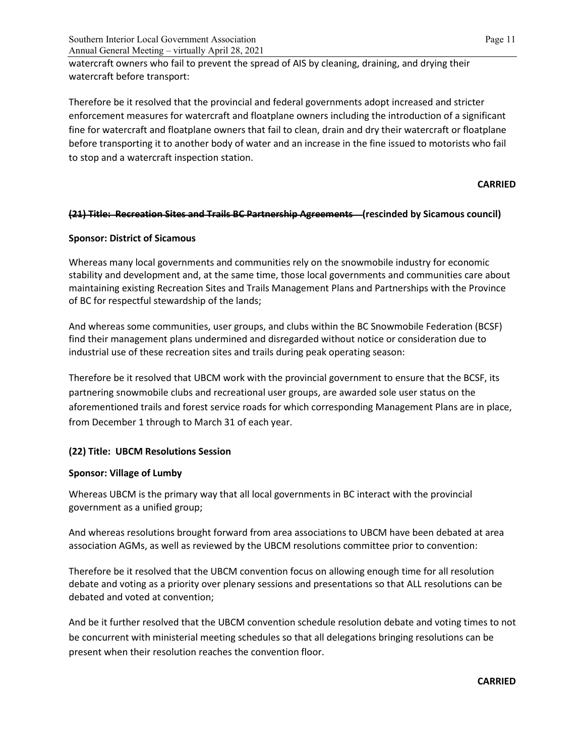watercraft owners who fail to prevent the spread of AIS by cleaning, draining, and drying their watercraft before transport:

Therefore be it resolved that the provincial and federal governments adopt increased and stricter enforcement measures for watercraft and floatplane owners including the introduction of a significant fine for watercraft and floatplane owners that fail to clean, drain and dry their watercraft or floatplane before transporting it to another body of water and an increase in the fine issued to motorists who fail to stop and a watercraft inspection station.

# **CARRIED**

## **(21) Title: Recreation Sites and Trails BC Partnership Agreements (rescinded by Sicamous council)**

## **Sponsor: District of Sicamous**

Whereas many local governments and communities rely on the snowmobile industry for economic stability and development and, at the same time, those local governments and communities care about maintaining existing Recreation Sites and Trails Management Plans and Partnerships with the Province of BC for respectful stewardship of the lands;

And whereas some communities, user groups, and clubs within the BC Snowmobile Federation (BCSF) find their management plans undermined and disregarded without notice or consideration due to industrial use of these recreation sites and trails during peak operating season:

Therefore be it resolved that UBCM work with the provincial government to ensure that the BCSF, its partnering snowmobile clubs and recreational user groups, are awarded sole user status on the aforementioned trails and forest service roads for which corresponding Management Plans are in place, from December 1 through to March 31 of each year.

# **(22) Title: UBCM Resolutions Session**

### **Sponsor: Village of Lumby**

Whereas UBCM is the primary way that all local governments in BC interact with the provincial government as a unified group;

And whereas resolutions brought forward from area associations to UBCM have been debated at area association AGMs, as well as reviewed by the UBCM resolutions committee prior to convention:

Therefore be it resolved that the UBCM convention focus on allowing enough time for all resolution debate and voting as a priority over plenary sessions and presentations so that ALL resolutions can be debated and voted at convention;

And be it further resolved that the UBCM convention schedule resolution debate and voting times to not be concurrent with ministerial meeting schedules so that all delegations bringing resolutions can be present when their resolution reaches the convention floor.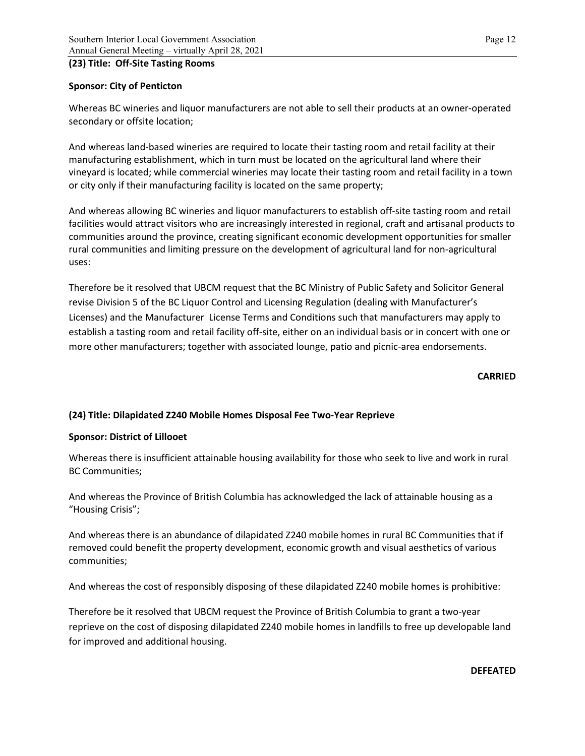## **(23) Title: Off-Site Tasting Rooms**

## **Sponsor: City of Penticton**

Whereas BC wineries and liquor manufacturers are not able to sell their products at an owner-operated secondary or offsite location;

And whereas land-based wineries are required to locate their tasting room and retail facility at their manufacturing establishment, which in turn must be located on the agricultural land where their vineyard is located; while commercial wineries may locate their tasting room and retail facility in a town or city only if their manufacturing facility is located on the same property;

And whereas allowing BC wineries and liquor manufacturers to establish off-site tasting room and retail facilities would attract visitors who are increasingly interested in regional, craft and artisanal products to communities around the province, creating significant economic development opportunities for smaller rural communities and limiting pressure on the development of agricultural land for non-agricultural uses:

Therefore be it resolved that UBCM request that the BC Ministry of Public Safety and Solicitor General revise Division 5 of the BC Liquor Control and Licensing Regulation (dealing with Manufacturer's Licenses) and the Manufacturer License Terms and Conditions such that manufacturers may apply to establish a tasting room and retail facility off-site, either on an individual basis or in concert with one or more other manufacturers; together with associated lounge, patio and picnic-area endorsements.

#### **CARRIED**

# **(24) Title: Dilapidated Z240 Mobile Homes Disposal Fee Two-Year Reprieve**

### **Sponsor: District of Lillooet**

Whereas there is insufficient attainable housing availability for those who seek to live and work in rural BC Communities;

And whereas the Province of British Columbia has acknowledged the lack of attainable housing as a "Housing Crisis";

And whereas there is an abundance of dilapidated Z240 mobile homes in rural BC Communities that if removed could benefit the property development, economic growth and visual aesthetics of various communities;

And whereas the cost of responsibly disposing of these dilapidated Z240 mobile homes is prohibitive:

Therefore be it resolved that UBCM request the Province of British Columbia to grant a two-year reprieve on the cost of disposing dilapidated Z240 mobile homes in landfills to free up developable land for improved and additional housing.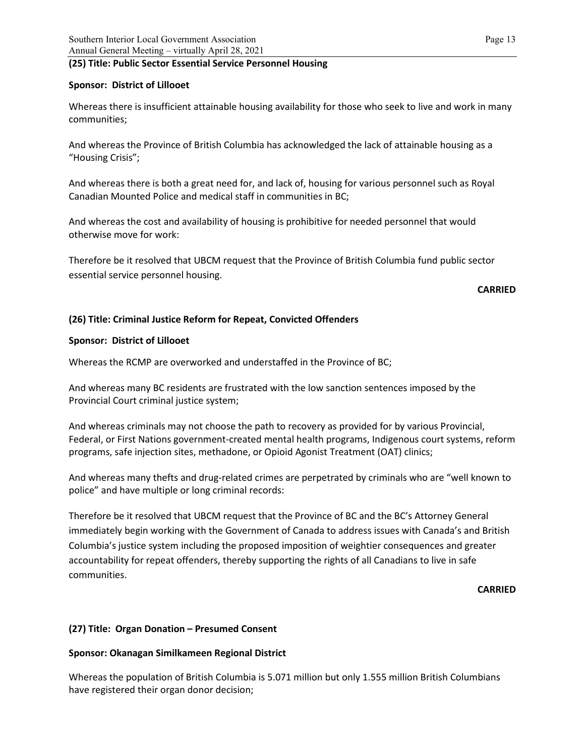### **(25) Title: Public Sector Essential Service Personnel Housing**

## **Sponsor: District of Lillooet**

Whereas there is insufficient attainable housing availability for those who seek to live and work in many communities;

And whereas the Province of British Columbia has acknowledged the lack of attainable housing as a "Housing Crisis";

And whereas there is both a great need for, and lack of, housing for various personnel such as Royal Canadian Mounted Police and medical staff in communities in BC;

And whereas the cost and availability of housing is prohibitive for needed personnel that would otherwise move for work:

Therefore be it resolved that UBCM request that the Province of British Columbia fund public sector essential service personnel housing.

### **CARRIED**

# **(26) Title: Criminal Justice Reform for Repeat, Convicted Offenders**

## **Sponsor: District of Lillooet**

Whereas the RCMP are overworked and understaffed in the Province of BC;

And whereas many BC residents are frustrated with the low sanction sentences imposed by the Provincial Court criminal justice system;

And whereas criminals may not choose the path to recovery as provided for by various Provincial, Federal, or First Nations government-created mental health programs, Indigenous court systems, reform programs, safe injection sites, methadone, or Opioid Agonist Treatment (OAT) clinics;

And whereas many thefts and drug-related crimes are perpetrated by criminals who are "well known to police" and have multiple or long criminal records:

Therefore be it resolved that UBCM request that the Province of BC and the BC's Attorney General immediately begin working with the Government of Canada to address issues with Canada's and British Columbia's justice system including the proposed imposition of weightier consequences and greater accountability for repeat offenders, thereby supporting the rights of all Canadians to live in safe communities.

**CARRIED**

# **(27) Title: Organ Donation – Presumed Consent**

# **Sponsor: Okanagan Similkameen Regional District**

Whereas the population of British Columbia is 5.071 million but only 1.555 million British Columbians have registered their organ donor decision;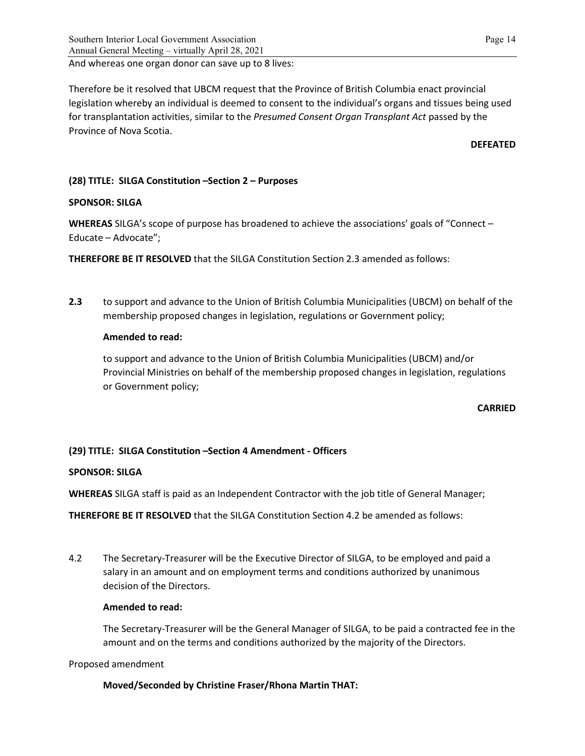### And whereas one organ donor can save up to 8 lives:

Therefore be it resolved that UBCM request that the Province of British Columbia enact provincial legislation whereby an individual is deemed to consent to the individual's organs and tissues being used for transplantation activities, similar to the *Presumed Consent Organ Transplant Act* passed by the Province of Nova Scotia.

#### **DEFEATED**

# **(28) TITLE: SILGA Constitution –Section 2 – Purposes**

## **SPONSOR: SILGA**

**WHEREAS** SILGA's scope of purpose has broadened to achieve the associations' goals of "Connect – Educate – Advocate";

**THEREFORE BE IT RESOLVED** that the SILGA Constitution Section 2.3 amended as follows:

**2.3** to support and advance to the Union of British Columbia Municipalities (UBCM) on behalf of the membership proposed changes in legislation, regulations or Government policy;

## **Amended to read:**

to support and advance to the Union of British Columbia Municipalities (UBCM) and/or Provincial Ministries on behalf of the membership proposed changes in legislation, regulations or Government policy;

### **CARRIED**

# **(29) TITLE: SILGA Constitution –Section 4 Amendment - Officers**

# **SPONSOR: SILGA**

**WHEREAS** SILGA staff is paid as an Independent Contractor with the job title of General Manager;

**THEREFORE BE IT RESOLVED** that the SILGA Constitution Section 4.2 be amended as follows:

4.2 The Secretary-Treasurer will be the Executive Director of SILGA, to be employed and paid a salary in an amount and on employment terms and conditions authorized by unanimous decision of the Directors.

### **Amended to read:**

The Secretary-Treasurer will be the General Manager of SILGA, to be paid a contracted fee in the amount and on the terms and conditions authorized by the majority of the Directors.

### Proposed amendment

**Moved/Seconded by Christine Fraser/Rhona Martin THAT:**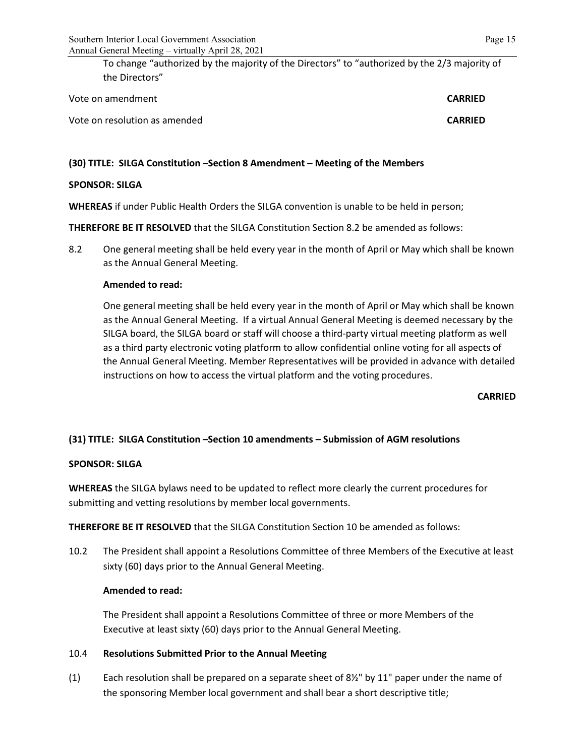To change "authorized by the majority of the Directors" to "authorized by the 2/3 majority of the Directors"

| Vote on amendment             | <b>CARRIED</b> |
|-------------------------------|----------------|
| Vote on resolution as amended | <b>CARRIED</b> |

# **(30) TITLE: SILGA Constitution –Section 8 Amendment – Meeting of the Members**

### **SPONSOR: SILGA**

**WHEREAS** if under Public Health Orders the SILGA convention is unable to be held in person;

**THEREFORE BE IT RESOLVED** that the SILGA Constitution Section 8.2 be amended as follows:

8.2 One general meeting shall be held every year in the month of April or May which shall be known as the Annual General Meeting.

### **Amended to read:**

One general meeting shall be held every year in the month of April or May which shall be known as the Annual General Meeting. If a virtual Annual General Meeting is deemed necessary by the SILGA board, the SILGA board or staff will choose a third-party virtual meeting platform as well as a third party electronic voting platform to allow confidential online voting for all aspects of the Annual General Meeting. Member Representatives will be provided in advance with detailed instructions on how to access the virtual platform and the voting procedures.

**CARRIED**

# **(31) TITLE: SILGA Constitution –Section 10 amendments – Submission of AGM resolutions**

# **SPONSOR: SILGA**

**WHEREAS** the SILGA bylaws need to be updated to reflect more clearly the current procedures for submitting and vetting resolutions by member local governments.

**THEREFORE BE IT RESOLVED** that the SILGA Constitution Section 10 be amended as follows:

10.2 The President shall appoint a Resolutions Committee of three Members of the Executive at least sixty (60) days prior to the Annual General Meeting.

### **Amended to read:**

The President shall appoint a Resolutions Committee of three or more Members of the Executive at least sixty (60) days prior to the Annual General Meeting.

### 10.4 **Resolutions Submitted Prior to the Annual Meeting**

(1) Each resolution shall be prepared on a separate sheet of  $8\frac{1}{2}$ " by 11" paper under the name of the sponsoring Member local government and shall bear a short descriptive title;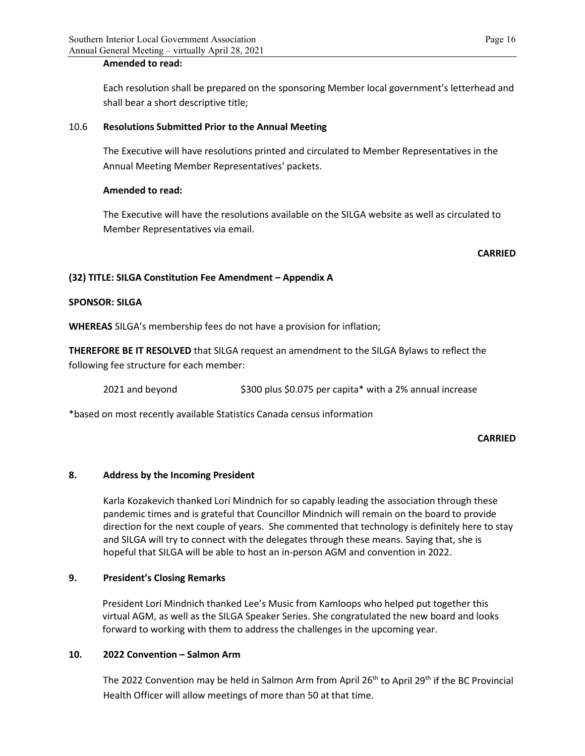### **Amended to read:**

Each resolution shall be prepared on the sponsoring Member local government's letterhead and shall bear a short descriptive title;

### 10.6 **Resolutions Submitted Prior to the Annual Meeting**

The Executive will have resolutions printed and circulated to Member Representatives in the Annual Meeting Member Representatives' packets.

### **Amended to read:**

The Executive will have the resolutions available on the SILGA website as well as circulated to Member Representatives via email.

### **CARRIED**

# **(32) TITLE: SILGA Constitution Fee Amendment – Appendix A**

## **SPONSOR: SILGA**

**WHEREAS** SILGA's membership fees do not have a provision for inflation;

**THEREFORE BE IT RESOLVED** that SILGA request an amendment to the SILGA Bylaws to reflect the following fee structure for each member:

2021 and beyond \$300 plus \$0.075 per capita\* with a 2% annual increase

\*based on most recently available Statistics Canada census information

### **CARRIED**

### **8. Address by the Incoming President**

Karla Kozakevich thanked Lori Mindnich for so capably leading the association through these pandemic times and is grateful that Councillor Mindnich will remain on the board to provide direction for the next couple of years. She commented that technology is definitely here to stay and SILGA will try to connect with the delegates through these means. Saying that, she is hopeful that SILGA will be able to host an in-person AGM and convention in 2022.

### **9. President's Closing Remarks**

President Lori Mindnich thanked Lee's Music from Kamloops who helped put together this virtual AGM, as well as the SILGA Speaker Series. She congratulated the new board and looks forward to working with them to address the challenges in the upcoming year.

### **10. 2022 Convention – Salmon Arm**

The 2022 Convention may be held in Salmon Arm from April 26<sup>th</sup> to April 29<sup>th</sup> if the BC Provincial Health Officer will allow meetings of more than 50 at that time.